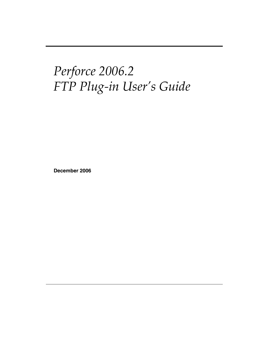# *Perforce 2006.2 FTP Plug-in User's Guide*

**December 2006**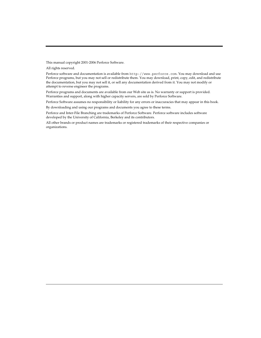This manual copyright 2001-2006 Perforce Software.

All rights reserved.

Perforce software and documentation is available from http://www.perforce.com. You may download and use Perforce programs, but you may not sell or redistribute them. You may download, print, copy, edit, and redistribute the documentation, but you may not sell it, or sell any documentation derived from it. You may not modify or attempt to reverse engineer the programs.

Perforce programs and documents are available from our Web site as is. No warranty or support is provided. Warranties and support, along with higher capacity servers, are sold by Perforce Software.

Perforce Software assumes no responsibility or liability for any errors or inaccuracies that may appear in this book.

By downloading and using our programs and documents you agree to these terms.

Perforce and Inter-File Branching are trademarks of Perforce Software. Perforce software includes software developed by the University of California, Berkeley and its contributors.

All other brands or product names are trademarks or registered trademarks of their respective companies or organizations.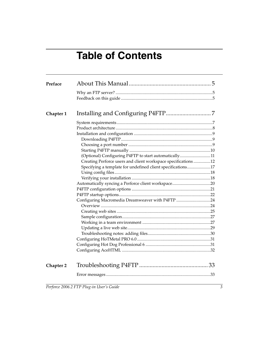# **Table of Contents**

| Preface   |                                                                |  |
|-----------|----------------------------------------------------------------|--|
|           |                                                                |  |
| Chapter 1 |                                                                |  |
|           |                                                                |  |
|           |                                                                |  |
|           |                                                                |  |
|           |                                                                |  |
|           |                                                                |  |
|           |                                                                |  |
|           | (Optional) Configuring P4FTP to start automatically11          |  |
|           | Creating Perforce users and client workspace specifications 12 |  |
|           | Specifying a template for undefined client specifications17    |  |
|           |                                                                |  |
|           |                                                                |  |
|           |                                                                |  |
|           |                                                                |  |
|           |                                                                |  |
|           | Configuring Macromedia Dreamweaver with P4FTP 24               |  |
|           |                                                                |  |
|           |                                                                |  |
|           |                                                                |  |
|           |                                                                |  |
|           |                                                                |  |
|           |                                                                |  |
|           |                                                                |  |
|           |                                                                |  |
|           |                                                                |  |
| Chapter 2 |                                                                |  |
|           |                                                                |  |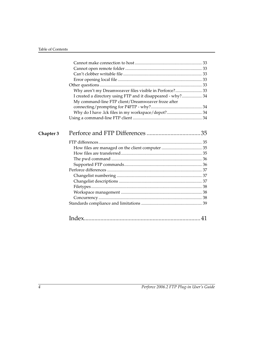| Why aren't my Dreamweaver files visible in Perforce? 33      |  |
|--------------------------------------------------------------|--|
| I created a directory using FTP and it disappeared - why? 34 |  |
| My command-line FTP client/Dreamweaver froze after           |  |
|                                                              |  |
| Why do I have .lck files in my workspace/depot? 34           |  |
|                                                              |  |
|                                                              |  |
|                                                              |  |
|                                                              |  |
|                                                              |  |
|                                                              |  |
|                                                              |  |
|                                                              |  |
|                                                              |  |
|                                                              |  |
|                                                              |  |
|                                                              |  |
|                                                              |  |
|                                                              |  |
|                                                              |  |
|                                                              |  |
|                                                              |  |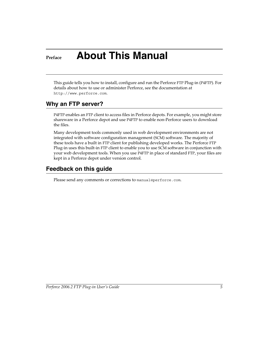# <span id="page-4-0"></span>**Preface About This Manual**

This guide tells you how to install, configure and run the Perforce FTP Plug-in (P4FTP). For details about how to use or administer Perforce, see the documentation at http://www.perforce.com.

## <span id="page-4-1"></span>**Why an FTP server?**

P4FTP enables an FTP client to access files in Perforce depots. For example, you might store shareware in a Perforce depot and use P4FTP to enable non-Perforce users to download the files.

Many development tools commonly used in web development environments are not integrated with software configuration management (SCM) software. The majority of these tools have a built in FTP client for publishing developed works. The Perforce FTP Plug-in uses this built-in FTP client to enable you to use SCM software in conjunction with your web development tools. When you use P4FTP in place of standard FTP, your files are kept in a Perforce depot under version control.

# <span id="page-4-2"></span>**Feedback on this guide**

Please send any comments or corrections to manual@perforce.com.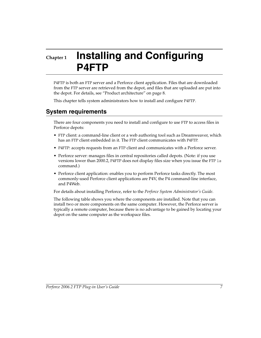# <span id="page-6-0"></span>**Chapter 1 Installing and Configuring P4FTP**

P4FTP is both an FTP server and a Perforce client application. Files that are downloaded from the FTP server are retrieved from the depot, and files that are uploaded are put into the depot. For details, see ["Product architecture" on page 8](#page-7-0).

This chapter tells system administrators how to install and configure P4FTP.

# <span id="page-6-1"></span>**System requirements**

There are four components you need to install and configure to use FTP to access files in Perforce depots:

- FTP client: a command-line client or a web authoring tool such as Dreamweaver, which has an FTP client embedded in it. The FTP client communicates with P4FTP.
- P4FTP: accepts requests from an FTP client and communicates with a Perforce server.
- Perforce server: manages files in central repositories called depots. (Note: if you use versions lower than 2000.2, P4FTP does not display files size when you issue the FTP ls command.)
- Perforce client application: enables you to perform Perforce tasks directly. The most commonly-used Perforce client applications are P4V, the P4 command-line interface, and P4Web.

For details about installing Perforce, refer to the *Perforce System Administrator's Guide*.

The following table shows you where the components are installed. Note that you can install two or more components on the same computer. However, the Perforce server is typically a remote computer, because there is no advantage to be gained by locating your depot on the same computer as the workspace files.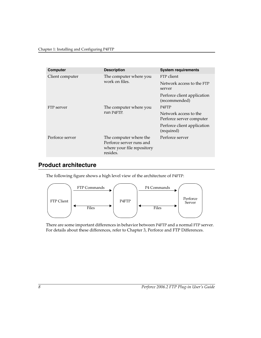| <b>Computer</b> | <b>Description</b>                                                                           | <b>System requirements</b>                        |
|-----------------|----------------------------------------------------------------------------------------------|---------------------------------------------------|
| Client computer | The computer where you<br>work on files.                                                     | FTP client                                        |
|                 |                                                                                              | Network access to the FTP<br>server               |
|                 |                                                                                              | Perforce client application<br>(recommended)      |
| FTP server      | The computer where you<br>run P4FTP.                                                         | P <sub>4</sub> F <sub>T</sub> P                   |
|                 |                                                                                              | Network access to the<br>Perforce server computer |
|                 |                                                                                              | Perforce client application<br>(required)         |
| Perforce server | The computer where the<br>Perforce server runs and<br>where your file repository<br>resides. | Perforce server                                   |

## <span id="page-7-0"></span>**Product architecture**

The following figure shows a high level view of the architecture of P4FTP:



There are some important differences in behavior between P4FTP and a normal FTP server. For details about these differences, refer to [Chapter 3, Perforce and FTP Differences.](#page-34-4)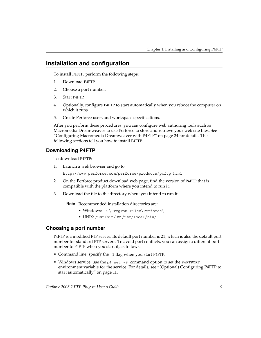## <span id="page-8-0"></span>**Installation and configuration**

To install P4FTP, perform the following steps:

- 1. Download P4FTP.
- 2. Choose a port number.
- 3. Start P4FTP.
- 4. Optionally, configure P4FTP to start automatically when you reboot the computer on which it runs.
- 5. Create Perforce users and workspace specifications.

After you perform these procedures, you can configure web authoring tools such as Macromedia Dreamweaver to use Perforce to store and retrieve your web site files. [See](#page-23-0)  ["Configuring Macromedia Dreamweaver with P4FTP" on page 24](#page-23-0) for details. The following sections tell you how to install P4FTP.

## <span id="page-8-1"></span>**Downloading P4FTP**

To download P4FTP:

1. Launch a web browser and go to:

http://www.perforce.com/perforce/products/p4ftp.html

- 2. On the Perforce product download web page, find the version of P4FTP that is compatible with the platform where you intend to run it.
- 3. Download the file to the directory where you intend to run it.

**Note** Recommended installation directories are:

- Windows: C:\Program Files\Perforce\
- <span id="page-8-3"></span>• UNIX*:* /usr/bin/ or /usr/local/bin/

## <span id="page-8-2"></span>**Choosing a port number**

P4FTP is a modified FTP server. Its default port number is 21, which is also the default port number for standard FTP servers. To avoid port conflicts, you can assign a different port number to P4FTP when you start it, as follows:

- Command line: specify the -1 flag when you start P4FTP.
- <span id="page-8-4"></span>• Windows service: use the p4 set -S command option to set the P4FTPORT environment variable for the service. For details, see ["\(Optional\) Configuring P4FTP to](#page-10-0)  [start automatically" on page 11](#page-10-0).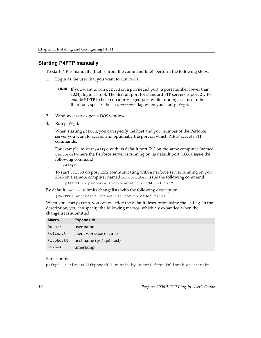## <span id="page-9-2"></span><span id="page-9-0"></span>**Starting P4FTP manually**

To start P4FTP manually (that is, from the command line), perform the following steps:

1. Login as the user that you want to run P4FTP.

**UNIX** If you want to run p4ftpd on a privileged port (a port number lower than 1024), login as root. The default port for standard FTP servers is port 21. To enable P4FTP to listen on a privileged port while running as a user other than root, specify the -u *username* flag when you start p4ftpd.

- 2. Windows users: open a DOS window.
- 3. Run p4ftpd.

When starting p4ftpd, you can specify the host and port number of the Perforce server you want to access, and optionally the port on which P4FTP accepts FTP commands.

For example, to start  $p4f$ t pd with its default port (21) on the same computer (named perforce) where the Perforce server is running on its default port (1666), issue the following command:

p4ftpd

To start p4ftpd on port 1232 communicating with a Perforce server running on port 2343 on a remote computer named bigcomputer, issue the following command:

```
 p4ftpd -p perforce.bigcomputer.com:2343 -l 1232
```
By default, p4ftpd submits changelists with the following description:

```
[P4FTPD] Automatic changelist for uploaded files
```
When you start  $p4ftpd$ , you can override the default description using the  $-t$  flag. In the description, you can specify the following macros, which are expanded when the changelist is submitted

| <b>Macro</b> | <b>Expands to</b>       |
|--------------|-------------------------|
| %user%       | user name               |
| %client%     | client workspace name   |
| %ftphost%    | host name (p4ftpd host) |
| %time%       | timestamp               |

#### For example:

p4ftpd -t "[P4FTP(%ftphost%)] submit by %user% from %client% at %time%"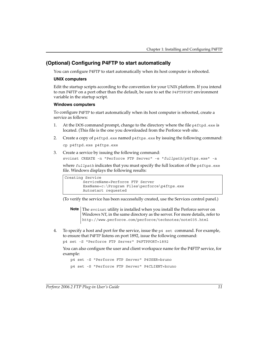## <span id="page-10-0"></span>**(Optional) Configuring P4FTP to start automatically**

You can configure P4FTP to start automatically when its host computer is rebooted.

#### **UNIX computers**

Edit the startup scripts according to the convention for your UNIX platform. If you intend to run P4FTP on a port other than the default, be sure to set the P4FTPPORT environment variable in the startup script.

#### **Windows computers**

<span id="page-10-3"></span>To configure P4FTP to start automatically when its host computer is rebooted, create a service as follows:

- 1. At the DOS command prompt, change to the directory where the file p4ftpd.exe is located. (This file is the one you downloaded from the Perforce web site.
- 2. Create a copy of p4ftpd.exe named p4ftps.exe by issuing the following command: cp p4ftpd.exe p4ftps.exe
- 3. Create a service by issuing the following command:

```
svcinst CREATE -n "Perforce FTP Server" -e "fullpath/p4ftps.exe" -a
```
where *fullpath* indicates that you must specify the full location of the p4ftps.exe file. Windows displays the following results:

```
Creating Service
         ServiceName=Perforce FTP Server
         ExeName=c:\Program Files\perforce\p4ftps.exe
         Autostart requested
```
(To verify the service has been successfully created, use the Services control panel.)

- <span id="page-10-2"></span><span id="page-10-1"></span>**Note** The svcinst utility is installed when you install the Perforce server on Windows NT, in the same directory as the server. For more details, refer to http://www.perforce.com/perforce/technotes/note035.html
- 4. To specify a host and port for the service, issue the p4 set command. For example, to ensure that P4FTP listens on port 1892, issue the following command:

```
p4 set -S "Perforce FTP Server" P4FTPPORT=1892
```
You can also configure the user and client workspace name for the P4FTP service, for example:

p4 set -S "Perforce FTP Server" P4USER=bruno p4 set -S "Perforce FTP Server" P4CLIENT=bruno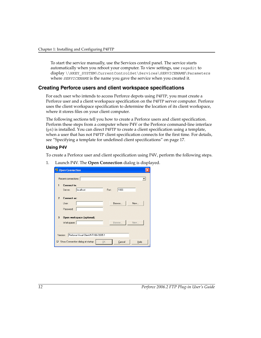To start the service manually, use the Services control panel. The service starts automatically when you reboot your computer. To view settings, use regedit to display \\HKEY\_SYSTEM\CurrentControlSet\Services\*SERVICENAME*\Parameters where *SERVICENAME* is the name you gave the service when you created it.

#### <span id="page-11-0"></span>**Creating Perforce users and client workspace specifications**

For each user who intends to access Perforce depots using P4FTP, you must create a Perforce user and a client workspace specification on the P4FTP server computer. Perforce uses the client workspace specification to determine the location of its client workspace, where it stores files on your client computer.

The following sections tell you how to create a Perforce users and client specification. Perform these steps from a computer where P4V or the Perforce command-line interface (p4) is installed. You can direct P4FTP to create a client specification using a template, when a user that has not P4FTP client specification connects for the first time. For details, see ["Specifying a template for undefined client specifications" on page 17](#page-16-0).

#### **Using P4V**

To create a Perforce user and client specification using P4V, perform the following steps.

- <sup>**24**</sup> Open Connection Recent connections:  $\blacktriangledown$ Connect to: 1666 localhost Port Server: 2 Connect as: User: Browse. New. Password 3 Open workspace (optional): Workspace: Browse New. Version: Perforce Visual Client/NTX86/2005.1 Show Connection dialog at startup **OK** Cancel Help
- 1. Launch P4V. The **Open Connection** dialog is displayed.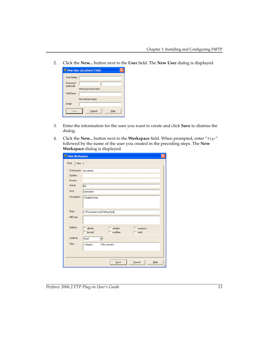2. Click the **New...** button next to the **User** field. The **New User** dialog is displayed.

|                | New User (localhost: 1666) |  |
|----------------|----------------------------|--|
| User Name:     |                            |  |
| Password:      |                            |  |
| (optional)     | enter password twice       |  |
| Full Name:     |                            |  |
|                | first and last name.       |  |
| <b>F</b> mail: |                            |  |
| Save           | Cancel<br>Help             |  |

- 3. Enter the information for the user you want to create and click **Save** to dismiss the dialog.
- 4. Click the **New...** button next to the **Workspace** field. When prompted, enter "ftp-" followed by the name of the user you created in the preceding steps. The **New Workspace** dialog is displayed.

<span id="page-12-0"></span>

| <sup>B1</sup> New Workspace |                                           |  |
|-----------------------------|-------------------------------------------|--|
| Form<br>View                |                                           |  |
| Workspace:                  | ftp-website                               |  |
| Update:                     |                                           |  |
| Access:                     |                                           |  |
| Owner:                      | lioe                                      |  |
| Host:                       | submariner                                |  |
| Description:                | Created by joe.                           |  |
|                             |                                           |  |
|                             |                                           |  |
| Root:                       | c:\Documents and Settings\joe             |  |
| AltRoots:                   |                                           |  |
|                             |                                           |  |
| Options:                    | allwrite<br>clobber<br>г<br>compress<br>г |  |
|                             | locked<br>modtime<br>mdir<br>п            |  |
| LineEnd:                    | local                                     |  |
| View:                       | //depot/<br>//ftp-website/                |  |
|                             |                                           |  |
|                             |                                           |  |
|                             | Cancel<br>Save<br>Help                    |  |
|                             |                                           |  |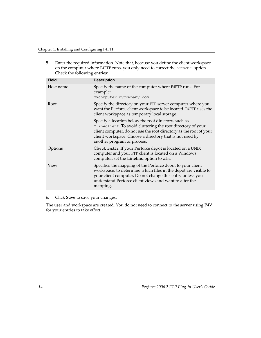5. Enter the required information. Note that, because you define the client workspace on the computer where P4FTP runs, you only need to correct the normdir option. Check the following entries:

| <b>Field</b> | <b>Description</b>                                                                                                                                                                                                                                                                    |
|--------------|---------------------------------------------------------------------------------------------------------------------------------------------------------------------------------------------------------------------------------------------------------------------------------------|
| Host name    | Specify the name of the computer where P4FTP runs. For<br>example:<br>mycomputer.mycompany.com.                                                                                                                                                                                       |
| Root         | Specify the directory on your FTP server computer where you<br>want the Perforce client workspace to be located. P4FTP uses the<br>client workspace as temporary local storage.                                                                                                       |
|              | Specify a location below the root directory, such as<br>C: \p4client. To avoid cluttering the root directory of your<br>client computer, do not use the root directory as the root of your<br>client workspace. Choose a directory that is not used by<br>another program or process. |
| Options      | Check rmdir. If your Perforce depot is located on a UNIX<br>computer and your FTP client is located on a Windows<br>computer, set the LineEnd option to win.                                                                                                                          |
| View         | Specifies the mapping of the Perforce depot to your client<br>workspace, to determine which files in the depot are visible to<br>your client computer. Do not change this entry unless you<br>understand Perforce client views and want to alter the<br>mapping.                      |

#### 6. Click **Save** to save your changes.

The user and workspace are created. You do not need to connect to the server using P4V for your entries to take effect.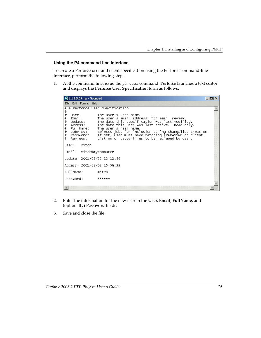#### **Using the P4 command-line interface**

To create a Perforce user and client specification using the Perforce command-line interface, perform the following steps.

1. At the command line, issue the p4 user command. Perforce launches a text editor and displays the **Perforce User Specification** form as follows.

| t1128t0.tmp - Notepad                                                                                                                                                                                                                                                                                                                                                                                                                                                                                     |  |
|-----------------------------------------------------------------------------------------------------------------------------------------------------------------------------------------------------------------------------------------------------------------------------------------------------------------------------------------------------------------------------------------------------------------------------------------------------------------------------------------------------------|--|
| File Edit Format Help                                                                                                                                                                                                                                                                                                                                                                                                                                                                                     |  |
| A Perforce User Specification.<br>⊯                                                                                                                                                                                                                                                                                                                                                                                                                                                                       |  |
| $* *$<br>The user's user name.<br>User:<br>Email:<br>The user's email address; for email review.<br>⊯<br>The date this specification was last modified.<br>Update:<br>The date this user was last active. Read only.<br>⊭<br>Access:<br>FullName:<br>#<br>The user's real name.<br>⊭<br>JobView:<br>Selects jobs for inclusion during changelist creation.<br>∦<br>If set, user must have matching \$P4PASSWD on client.<br>Password:<br>l#<br>Listing of depot files to be reviewed by user.<br>Reviews: |  |
| mitch<br>luser:                                                                                                                                                                                                                                                                                                                                                                                                                                                                                           |  |
| Email: mitch@mycomputer                                                                                                                                                                                                                                                                                                                                                                                                                                                                                   |  |
| Update: 2001/02/22 12:12:56                                                                                                                                                                                                                                                                                                                                                                                                                                                                               |  |
| Access: 2001/03/02 15:58:33                                                                                                                                                                                                                                                                                                                                                                                                                                                                               |  |
| FullName:<br>mitch                                                                                                                                                                                                                                                                                                                                                                                                                                                                                        |  |
| Password:<br>******                                                                                                                                                                                                                                                                                                                                                                                                                                                                                       |  |
|                                                                                                                                                                                                                                                                                                                                                                                                                                                                                                           |  |

- 2. Enter the information for the new user in the **User**, **Email**, **FullName**, and (optionally) **Password** fields.
- 3. Save and close the file.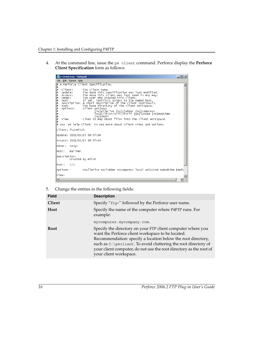4. At the command line, issue the p4 client command. Perforce display the **Perforce Client Specification** form as follows:

| Et1104t0.tmp - Notepad                                                                                                                                                                                                                                                                                                                                                                                                                                                                                                                                                                                                                          | $ \Box$ $\times$ |
|-------------------------------------------------------------------------------------------------------------------------------------------------------------------------------------------------------------------------------------------------------------------------------------------------------------------------------------------------------------------------------------------------------------------------------------------------------------------------------------------------------------------------------------------------------------------------------------------------------------------------------------------------|------------------|
| File Edit Format Help                                                                                                                                                                                                                                                                                                                                                                                                                                                                                                                                                                                                                           |                  |
| # A Perforce Client Specification.<br>∦                                                                                                                                                                                                                                                                                                                                                                                                                                                                                                                                                                                                         |                  |
| ₩<br>The client name.<br>Client:<br>₩<br>The date this specification was last modified.<br>Update:<br>⊭<br>The date this client was last used in any way.<br>ACCESS:<br>⊭<br>The user who created this client.<br>owner:<br>⊭<br>If set, restricts access to the named host.<br>Host:<br>⊭<br>Description: A short description of the client (optional).<br>₩<br>The base directory of the client workspace.<br>Root:<br>∦<br>Options:<br>Client options:<br>*****<br>[no]allwrite [no]clobber [no]compress<br>Tocal/1f/cr/cr1f/1fcr1f [un]Tocked [no]modtime<br>ſnolrmdir<br>view:<br>Lines to map depot files into the client workspace.<br>∦ |                  |
| $*$ Use 'p4 help client' to see more about client views and options.                                                                                                                                                                                                                                                                                                                                                                                                                                                                                                                                                                            |                  |
| ⊂lient: ftp–mitch                                                                                                                                                                                                                                                                                                                                                                                                                                                                                                                                                                                                                               |                  |
| Update: 2001/03/15 09:57:04                                                                                                                                                                                                                                                                                                                                                                                                                                                                                                                                                                                                                     |                  |
| Access: 2001/03/15 09:57:04                                                                                                                                                                                                                                                                                                                                                                                                                                                                                                                                                                                                                     |                  |
| lowner :<br>tonyc                                                                                                                                                                                                                                                                                                                                                                                                                                                                                                                                                                                                                               |                  |
| mariner<br>Host:                                                                                                                                                                                                                                                                                                                                                                                                                                                                                                                                                                                                                                |                  |
| Description:<br>Created by mitch                                                                                                                                                                                                                                                                                                                                                                                                                                                                                                                                                                                                                |                  |
| $c:\setminus$<br>lRoot:                                                                                                                                                                                                                                                                                                                                                                                                                                                                                                                                                                                                                         |                  |
| options:<br>noallwrite noclobber nocompress local unlocked nomodtime rmdir                                                                                                                                                                                                                                                                                                                                                                                                                                                                                                                                                                      |                  |
| View:                                                                                                                                                                                                                                                                                                                                                                                                                                                                                                                                                                                                                                           |                  |
| $\left  \cdot \right $                                                                                                                                                                                                                                                                                                                                                                                                                                                                                                                                                                                                                          |                  |

5. Change the entries in the following fields:

<span id="page-15-0"></span>

| <b>Field</b> | <b>Description</b>                                                                                                                                                                                                                                                                                                                                  |
|--------------|-----------------------------------------------------------------------------------------------------------------------------------------------------------------------------------------------------------------------------------------------------------------------------------------------------------------------------------------------------|
| Client       | Specify "ftp-" followed by the Perforce user name.                                                                                                                                                                                                                                                                                                  |
| <b>Host</b>  | Specify the name of the computer where P4FTP runs. For<br>example:                                                                                                                                                                                                                                                                                  |
|              | mycomputer.mycompany.com.                                                                                                                                                                                                                                                                                                                           |
| <b>Root</b>  | Specify the directory on your FTP client computer where you<br>want the Perforce client workspace to be located.<br>Recommendation: specify a location below the root directory,<br>such as C: \p4client. To avoid cluttering the root directory of<br>your client computer, do not use the root directory as the root of<br>your client workspace. |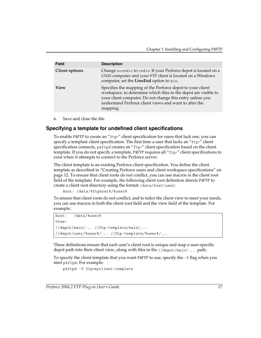| <b>Field</b>          | <b>Description</b>                                                                                                                                                                                                                                               |
|-----------------------|------------------------------------------------------------------------------------------------------------------------------------------------------------------------------------------------------------------------------------------------------------------|
| <b>Client options</b> | Change normdir to rmdir. If your Perforce depot is located on a<br>UNIX computer and your FTP client is located on a Windows<br>computer, set the LineEnd option to win.                                                                                         |
| <b>View</b>           | Specifies the mapping of the Perforce depot to your client<br>workspace, to determine which files in the depot are visible to<br>your client computer. Do not change this entry unless you<br>understand Perforce client views and want to alter the<br>mapping. |

<span id="page-16-1"></span>6. Save and close the file.

## <span id="page-16-0"></span>**Specifying a template for undefined client specifications**

To enable P4FTP to create an "ftp-" client specification for users that lack one, you can specify a template client specification. The first time a user that lacks an "ftp-" client specification connects, p4ftpd creates an "ftp-" client specification based on the client template. If you do not specify a template, P4FTP requires all "ftp-" client specifications to exist when it attempts to connect to the Perforce server.

The client template is an existing Perforce client specification. You define the client template as described in ["Creating Perforce users and client workspace specifications" on](#page-11-0)  [page 12.](#page-11-0) To ensure that client roots do not conflict, you can use macros in the client root field of the template. For example, the following client root definition directs P4FTP to create a client root directory using the format /data/*host*/*user*:

```
Root: /data/%ftphost%/%user%
```
To ensure that client roots do not conflict, and to tailor the client view to meet your needs, you can use macros in both the client root field and the view field of the template. For example:.

```
Root: /data/%user%
View:
//depot/main/... //ftp-template/main/...
//depot/user/%user%/... //ftp-template/%user%/...
```
These definitions ensure that each user's client root is unique and map a user-specific depot path into their client view, along with files in the  $//\text{depot/min}/...$  path.

To specify the client template that you want P4FTP to use, specify the -T flag when you start p4ftpd. For example:

```
p4ftpd -T ftp-myclient-template
```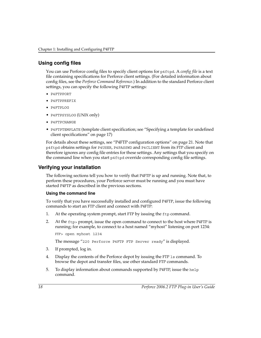## <span id="page-17-0"></span>**Using config files**

<span id="page-17-2"></span>You can use Perforce config files to specify client options for p4ftpd. A *config file* is a text file containing specifications for Perforce client settings. (For detailed information about config files, see the *Perforce Command Reference*.) In addition to the standard Perforce client settings, you can specify the following P4FTP settings:

- <span id="page-17-5"></span>• P4FTPPORT
- <span id="page-17-6"></span>• P4FTPPREFIX
- <span id="page-17-4"></span>• P4FTPLOG
- <span id="page-17-7"></span>• P4FTPSYSLOG (UNIX only)
- <span id="page-17-3"></span>• P4FTPCHANGE
- <span id="page-17-9"></span><span id="page-17-8"></span>• P4FTPTEMPLATE (template client specification; see ["Specifying a template for undefined](#page-16-0)  [client specifications" on page 17](#page-16-0))

For details about these settings, see ["P4FTP configuration options" on page 21.](#page-20-0) Note that p4ftpd obtains settings for P4USER, P4PASSWD and P4CLIENT from its FTP client and therefore ignores any config file entries for these settings. Any settings that you specify on the command line when you start p4ftpd override corresponding config file settings.

## <span id="page-17-1"></span>**Verifying your installation**

The following sections tell you how to verify that P4FTP is up and running. Note that, to perform these procedures, your Perforce server must be running and you must have started P4FTP as described in the previous sections.

#### **Using the command line**

To verify that you have successfully installed and configured P4FTP, issue the following commands to start an FTP client and connect with P4FTP:

- 1. At the operating system prompt, start FTP by issuing the ftp command.
- 2. At the ftp> prompt, issue the open command to connect to the host where P4FTP is running; for example, to connect to a host named "myhost" listening on port 1234:

```
FTP> open myhost 1234
The message "220 Perforce P4FTP FTP Server ready" is displayed.
```
- 3. If prompted, log in.
- 4. Display the contents of the Perforce depot by issuing the FTP ls command. To browse the depot and transfer files, use other standard FTP commands.
- 5. To display information about commands supported by P4FTP, issue the help command.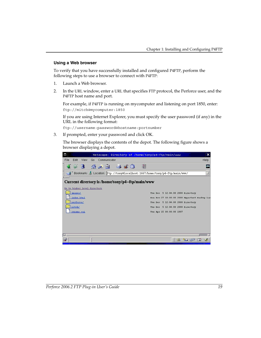#### **Using a Web browser**

To verify that you have successfully installed and configured P4FTP, perform the following steps to use a browser to connect with P4FTP:

- 1. Launch a Web browser.
- 2. In the URL window, enter a URL that specifies FTP protocol, the Perforce user, and the P4FTP host name and port.

For example, if P4FTP is running on mycomputer and listening on port 1850, enter: ftp://mitch@mycomputer:1850

If you are using Internet Explorer, you must specify the user password (if any) in the URL in the following format:

ftp://username:password@hostname:portnumber

3. If prompted, enter your password and click OK.

The browser displays the contents of the depot. The following figure shows a browser displaying a depot.

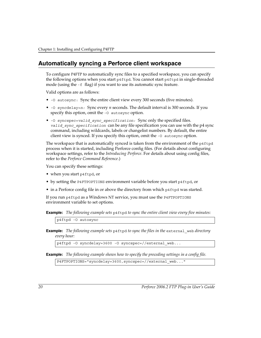## <span id="page-19-0"></span>**Automatically syncing a Perforce client workspace**

To configure P4FTP to automatically sync files to a specified workspace, you can specify the following options when you start p4ftpd. You cannot start p4ftpd in single-threaded mode (using the -f flag) if you want to use its automatic sync feature.

Valid options are as follows:

- -O autosync: Sync the entire client view every 300 seconds (five minutes).
- -O syncdelay=*n:* Sync every *n* seconds. The default interval is 300 seconds. If you specify this option, omit the -0 autosync option.
- -O syncspec=*valid\_sync\_specification:* Sync only the specified files. *valid\_sync\_specification* can be any file specification you can use with the p4 sync command, including wildcards, labels or changelist numbers. By default, the entire client view is synced. If you specify this option, omit the -O autosync option.

The workspace that is automatically synced is taken from the environment of the p4ftpd process when it is started, including Perforce config files. (For details about configuring workspace settings, refer to the *Introducing Perforce*. For details about using config files, refer to the *Perforce Command Reference*.)

You can specify these settings:

- when you start p4ftpd, or
- by setting the P4FTPOPTIONS environment variable before you start p4ftpd, or
- in a Perforce config file in or above the directory from which p4ftpd was started.

If you run p4ftpd as a Windows NT service, you must use the P4FTPOPTIONS environment variable to set options.

**Example:** The following example sets p4ftpd to sync the entire client view every five minutes:

p4ftpd -O autosync

**Example:** The following example sets p4ftpd to sync the files in the external web directory *every hour:*

p4ftpd -O syncdelay=3600 -O syncspec=//external\_web...

**Example:** *The following example shows how to specify the preceding settings in a config file.*

P4FTPOPTIONS="syncdelay=3600,syncspec=//external\_web..."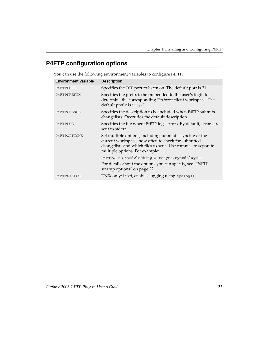# <span id="page-20-0"></span>**P4FTP configuration options**

| <b>Environment variable</b> | <b>Description</b>                                                                                                                                                                                               |
|-----------------------------|------------------------------------------------------------------------------------------------------------------------------------------------------------------------------------------------------------------|
| P4FTPPORT                   | Specifies the TCP port to listen on. The default port is 21.                                                                                                                                                     |
| P4FTPPREFIX                 | Specifies the prefix to be prepended to the user's login to<br>determine the corresponding Perforce client workspace. The<br>default prefix is "ftp-".                                                           |
| P4FTPCHANGE                 | Specifies the description to be included when P4FTP submits<br>changelists. Overrides the default description.                                                                                                   |
| P4FTPLOG                    | Specifies the file where P4FTP logs errors. By default, errors are<br>sent to stderr.                                                                                                                            |
| P4FTPOPTIONS                | Set multiple options, including automatic syncing of the<br>current workspace, how often to check for submitted<br>changelists and which files to sync. Use commas to separate<br>multiple options. For example: |
|                             | P4FTPOPTIONS=dwlocking, autosync, syncdelay=10                                                                                                                                                                   |
|                             | For details about the options you can specify, see "P4FTP<br>startup options" on page 22.                                                                                                                        |
| P4FTPSYSLOG                 | UNIX only: If set, enables logging using syslog().                                                                                                                                                               |
|                             |                                                                                                                                                                                                                  |

<span id="page-20-1"></span>You can use the following environment variables to configure P4FTP.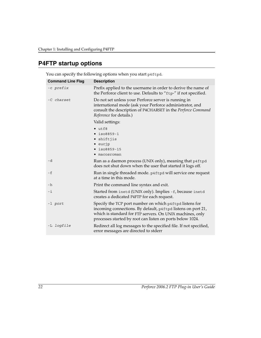# <span id="page-21-0"></span>**P4FTP startup options**

<span id="page-21-2"></span><span id="page-21-1"></span>

| <b>Command Line Flag</b> | <b>Description</b>                                                                                                                                                                                                                                |
|--------------------------|---------------------------------------------------------------------------------------------------------------------------------------------------------------------------------------------------------------------------------------------------|
| -c prefix                | Prefix applied to the username in order to derive the name of<br>the Perforce client to use. Defaults to "ftp-" if not specified.                                                                                                                 |
| -C charset               | Do not set unless your Perforce server is running in<br>international mode (ask your Perforce administrator, and<br>consult the description of P4CHARSET in the Perforce Command<br>Reference for details.)                                       |
|                          | Valid settings:                                                                                                                                                                                                                                   |
|                          | $\bullet$ utf8<br>$\bullet$ iso8859-1<br>• shiftjis<br>$\bullet$ eucjp<br>iso8859-15<br>macosroman                                                                                                                                                |
| -d                       | Run as a daemon process (UNIX only), meaning that p4ftpd<br>does not shut down when the user that started it logs off.                                                                                                                            |
| - f                      | Run in single threaded mode. p4ftpd will service one request<br>at a time in this mode.                                                                                                                                                           |
| $-h$                     | Print the command line syntax and exit.                                                                                                                                                                                                           |
| -i                       | Started from inetd (UNIX only). Implies -f, because inetd<br>creates a dedicated P4FTP for each request.                                                                                                                                          |
| -1 port                  | Specify the TCP port number on which p4ftpd listens for<br>incoming connections. By default, p4ftpd listens on port 21,<br>which is standard for FTP servers. On UNIX machines, only<br>processes started by root can listen on ports below 1024. |
| -L logfile               | Redirect all log messages to the specified file. If not specified,<br>error messages are directed to stderr                                                                                                                                       |

You can specify the following options when you start p4ftpd.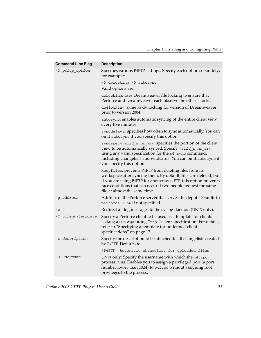| <b>Command Line Flag</b> | <b>Description</b>                                                                                                                                                                                                                                                                             |
|--------------------------|------------------------------------------------------------------------------------------------------------------------------------------------------------------------------------------------------------------------------------------------------------------------------------------------|
| -O p4ftp_option          | Specifies various P4FTP settings. Specify each option separately;<br>for example:                                                                                                                                                                                                              |
|                          | -O dwlocking -O autosync                                                                                                                                                                                                                                                                       |
|                          | Valid options are:                                                                                                                                                                                                                                                                             |
|                          | dwlocking: uses Dreamweaver file locking to ensure that<br>Perforce and Dreamweaver each observe the other's locks.                                                                                                                                                                            |
|                          | dw41ocking: same as dwlocking for version of Dreamweaver<br>prior to version 2004.                                                                                                                                                                                                             |
|                          | autosync: enables automatic syncing of the entire client view<br>every five minutes.                                                                                                                                                                                                           |
|                          | syncdelay n: specifies how often to sync automatically. You can<br>omit autosync if you specify this option.                                                                                                                                                                                   |
|                          | syncspec=valid_sync_arg: specifies the portion of the client<br>view to be automatically synced. Specify valid_sync_arg<br>using any valid specification for the p4 sync command,<br>including changelists and wildcards. You can omit autosync if<br>you specify this option.                 |
|                          | keepfiles: prevents P4FTP from deleting files from its<br>workspace after syncing them. By default, files are deleted, but<br>if you are using P4FTP for anonymous FTP, this option prevents<br>race conditions that can occur if two people request the same<br>file at almost the same time. |
| -p address               | Address of the Perforce server that serves the depot. Defaults to<br>perforce: 1666 if not specified                                                                                                                                                                                           |
| $-$ S                    | Redirect all log messages to the syslog daemon (UNIX only).                                                                                                                                                                                                                                    |
| -T client-template       | Specify a Perforce client to be used as a template for clients<br>lacking a corresponding "ftp-" client specification. For details,<br>refer to "Specifying a template for undefined client<br>specifications" on page 17.                                                                     |
| -t description           | Specify the description to be attached to all changelists created<br>by P4FTP. Defaults to:                                                                                                                                                                                                    |
|                          | [P4FTP] Automatic changelist for uploaded files                                                                                                                                                                                                                                                |
| -u <i>username</i>       | UNIX only: Specify the username with which the p4ftpd<br>process runs. Enables you to assign a privileged port (a port<br>number lower than 1024) to p4ftpd without assigning root<br>privileges to the process.                                                                               |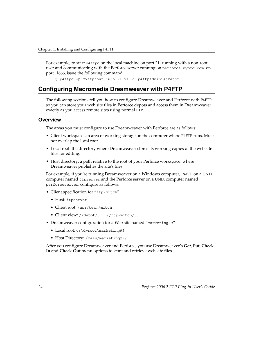For example, to start p4ftpd on the local machine on port 21, running with a non-root user and communicating with the Perforce server running on perforce.myorg.com on port 1666, issue the following command:

<span id="page-23-2"></span>\$ p4ftpd -p myftphost:1666 -l 21 -u p4ftpadministrator

# <span id="page-23-0"></span>**Configuring Macromedia Dreamweaver with P4FTP**

The following sections tell you how to configure Dreamweaver and Perforce with P4FTP so you can store your web site files in Perforce depots and access them in Dreamweaver exactly as you access remote sites using normal FTP.

#### <span id="page-23-1"></span>**Overview**

The areas you must configure to use Dreamweaver with Perforce are as follows:

- Client workspace: an area of working storage on the computer where P4FTP runs. Must not overlap the local root.
- Local root: the directory where Dreamweaver stores its working copies of the web site files for editing.
- Host directory: a path relative to the root of your Perforce workspace, where Dreamweaver publishes the site's files.

For example, if you're running Dreamweaver on a Windows computer, P4FTP on a UNIX computer named ftpserver and the Perforce server on a UNIX computer named perforceserver, configure as follows:

- Client specification for "ftp-mitch"
	- Host: ftpserver
	- Client root: /usr/team/mitch
	- Client view: //depot/... //ftp-mitch/...
- Dreamweaver configuration for a Web site named "marketing99"
	- Local root: c:\dwroot\marketing99
	- Host Directory: /main/marketing99/

After you configure Dreamweaver and Perforce, you use Dreamweaver's **Get**, **Put**, **Check In** and **Check Out** menu options to store and retrieve web site files.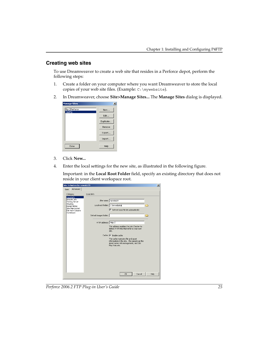### <span id="page-24-0"></span>**Creating web sites**

To use Dreamweaver to create a web site that resides in a Perforce depot, perform the following steps:

- 1. Create a folder on your computer where you want Dreamweaver to store the local copies of your web site files. (Example: C:\mywebsite).
- 2. In Dreamweaver, choose **Site>Manage Sites...** The **Manage Sites** dialog is displayed.

| <b>Manage Sites</b>       | $\boldsymbol{\mathsf{x}}$ |
|---------------------------|---------------------------|
| ftp://Perforce<br>Testftp | New                       |
|                           | Edit                      |
|                           | Duplicate                 |
|                           | Remove                    |
|                           | Export                    |
|                           | Import                    |
| Done                      | Help                      |

- 3. Click **New...**
- 4. Enter the local settings for the new site, as illustrated in the following figure.

Important: in the **Local Root Folder** field, specify an existing directory that does not reside in your client workspace root.

| <b>Site Definition for newsite99</b>                                                                                                             |                                                                                                    |                                                                                                                                                                                                                                                                                                                                                      | $\vert x \vert$ |
|--------------------------------------------------------------------------------------------------------------------------------------------------|----------------------------------------------------------------------------------------------------|------------------------------------------------------------------------------------------------------------------------------------------------------------------------------------------------------------------------------------------------------------------------------------------------------------------------------------------------------|-----------------|
| Advanced<br>Basic                                                                                                                                |                                                                                                    |                                                                                                                                                                                                                                                                                                                                                      |                 |
| Category<br>Local Info<br>Remote Info<br><b>Testing Server</b><br>Cloaking<br>Design Notes<br>Site Map Layout<br>File View Columns<br>Contribute | Local Info.<br>Local root folder: C:\mywebsitei<br>Default images folder:<br>HTTP address: http:// | Site name: newsite99<br>Refresh local file list automatically<br>This address enables the Link Checker to<br>detect HTTP links that refer to your own<br>site.<br>Cache: $\overline{V}$ Fnable cache<br>The cache maintains file and asset<br>information in the site. This speeds up the<br>Asset panel, link management, and Site<br>Map reatures. | n<br>≧          |
|                                                                                                                                                  |                                                                                                    | Cancel<br>OK                                                                                                                                                                                                                                                                                                                                         | Help            |
|                                                                                                                                                  |                                                                                                    |                                                                                                                                                                                                                                                                                                                                                      |                 |

*Perforce 2006.2 FTP Plug-in User's Guide 25*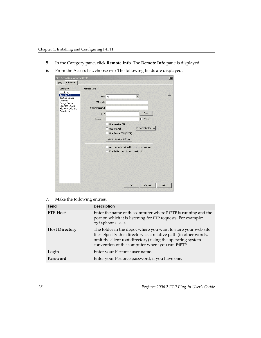- 5. In the Category pane, click **Remote Info**. The **Remote Info** pane is displayed.
- 6. From the Access list, choose FTP. The following fields are displayed.

| <b>Site Definition for newsite99</b>                                                                                                 |                                                                                                                                                                                                                                                                                        | $\vert x \vert$ |
|--------------------------------------------------------------------------------------------------------------------------------------|----------------------------------------------------------------------------------------------------------------------------------------------------------------------------------------------------------------------------------------------------------------------------------------|-----------------|
| Advanced<br>Basic                                                                                                                    |                                                                                                                                                                                                                                                                                        |                 |
| Category                                                                                                                             | Remote Info                                                                                                                                                                                                                                                                            |                 |
| Local Info<br>Remote Info<br><b>Testing Server</b><br>Cloaking<br>Design Notes<br>Site Map Layout<br>File View Columns<br>Contribute | Access: FTP<br>FTP host:<br>Host directory:<br>Login:<br>Test<br>Save<br>Password:<br>Use passive FTP<br>Firewall Settings<br>Use firewall<br>Use Secure FTP (SFTP)<br>Server Compatibility<br>Automatically upload files to server on save<br>Enable file check in and check out<br>г |                 |
|                                                                                                                                      | Cancel<br>OK                                                                                                                                                                                                                                                                           | Help            |

7. Make the following entries.

<span id="page-25-0"></span>

| <b>Field</b>          | <b>Description</b>                                                                                                                                                                                                                                  |
|-----------------------|-----------------------------------------------------------------------------------------------------------------------------------------------------------------------------------------------------------------------------------------------------|
| <b>FTP</b> Host       | Enter the name of the computer where P4FTP is running and the<br>port on which it is listening for FTP requests. For example:<br>myftphost:1234                                                                                                     |
| <b>Host Directory</b> | The folder in the depot where you want to store your web site<br>files. Specify this directory as a relative path (in other words,<br>omit the client root directory) using the operating system<br>convention of the computer where you run P4FTP. |
| Login                 | Enter your Perforce user name.                                                                                                                                                                                                                      |
| Password              | Enter your Perforce password, if you have one.                                                                                                                                                                                                      |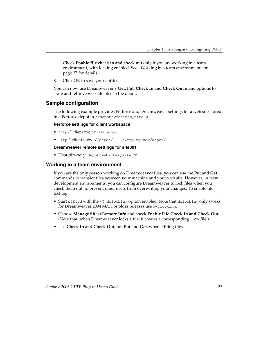Check **Enable file check in and check out** only if you are working in a team environment, with locking enabled. See ["Working in a team environment" on](#page-26-1)  [page 27](#page-26-1) for details.

8. Click OK to save your entries.

You can now use Dreamweaver's **Get**, **Put**, **Check In and Check Out** menu options to store and retrieve web site files in the depot.

### <span id="page-26-0"></span>**Sample configuration**

The following example provides Perforce and Dreamweaver settings for a web site stored in a Perforce depot in //depot/websites/site001.

#### **Perforce settings for client workspace**

- "ftp-" client root: C:\ftproot
- "ftp-" client view: //depot/... //ftp-myuser/depot/...

#### **Dreamweaver remote settings for site001**

<span id="page-26-2"></span>• Host directory: depot/websites/site001

### <span id="page-26-1"></span>**Working in a team environment**

<span id="page-26-4"></span>If you are the only person working on Dreamweaver files, you can use the **Put** and **Get** commands to transfer files between your machine and your web site. However, in team development environments, you can configure Dreamweaver to lock files when you check them out, to prevent other users from overwriting your changes. To enable file locking:

- Start p4ftpd with the -O dwlocking option enabled. Note that dwlocking only works for Dreamweaver 2004 MX. For older releases use dw4locking.
- <span id="page-26-3"></span>• Choose **Manage Sites>Remote Info** and check **Enable File Check In and Check Out**. (Note that, when Dreamweaver locks a file, it creates a corresponding .LCK file.)
- Use **Check In** and **Check Out**, not **Put** and **Get**, when editing files.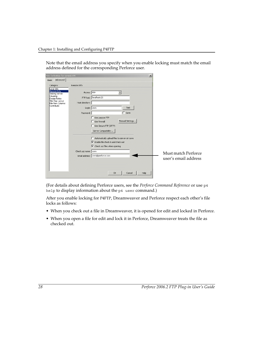Note that the email address you specify when you enable locking must match the email address defined for the corresponding Perforce user.

|                                           | $\times$<br><b>Site Definition for newsite99</b>     |                      |
|-------------------------------------------|------------------------------------------------------|----------------------|
| Advanced<br>Basic                         |                                                      |                      |
| Category<br>Local Info                    | Remote Info                                          |                      |
| Remote Info<br>Testing Server<br>Cloaking | Access: FTP                                          |                      |
| Design Notes<br>Site Map Layout           | FTP host:   localhost:21                             |                      |
| File View Columns<br>Contribute           | Host directory:                                      |                      |
|                                           | Login: cren<br>Test                                  |                      |
|                                           | $\Gamma$ Save<br>Password:                           |                      |
|                                           | $\Box$ Use passive FTP                               |                      |
|                                           | Firewall Settings<br>$\Gamma$ Use firewall           |                      |
|                                           | Use Secure FTP (SFTP)                                |                      |
|                                           | Server Compatibility                                 |                      |
|                                           | Automatically upload files to server on save         |                      |
|                                           | $\nabla$ Enable file check in and check out          |                      |
|                                           | $\overline{\mathbf{V}}$ Check out files when opening |                      |
|                                           | Check out name: cren                                 | Must match Perforce  |
|                                           | Email address: cren@perforce.com                     |                      |
|                                           |                                                      | user's email address |
|                                           |                                                      |                      |
|                                           |                                                      |                      |
|                                           | Help<br><b>OK</b><br>Cancel                          |                      |

(For details about defining Perforce users, see the *Perforce Command Reference* or use p4 help to display information about the p4 user command.)

After you enable locking for P4FTP, Dreamweaver and Perforce respect each other's file locks as follows:

- When you check out a file in Dreamweaver, it is opened for edit and locked in Perforce.
- <span id="page-27-0"></span>• When you open a file for edit and lock it in Perforce, Dreamweaver treats the file as checked out.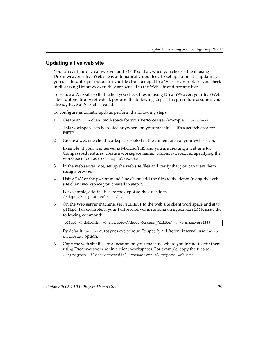## <span id="page-28-0"></span>**Updating a live web site**

You can configure Dreamweaver and P4FTP so that, when you check a file in using Dreamweaver, a live Web site is automatically updated. To set up automatic updating, you use the autosync option to sync files from a depot to a Web server root. As you check in files using Dreamweaver, they are synced to the Web site and become live.

To set up a Web site so that, when you check files in using DreamWeaver, your live Web site is automatically refreshed, perform the following steps. This procedure assumes you already have a Web site created.

To configure automatic update, perform the following steps:

1. Create an ftp- client workspace for your Perforce user (example: ftp-tonyz).

This workspace can be rooted anywhere on your machine -- it's a scratch area for P4FTP.

2. Create a web site client workspace, rooted in the content area of your web server.

Example: if your web server is Microsoft IIS and you are creating a web site for Compass Adventures, create a workspace named compass-website., specifying the workspace root as C:\Inetpub\wwwroot

- 3. In the web server root, set up the web site files and verify that you can view them using a browser.
- 4. Using P4V or the p4 command-line client, add the files to the depot (using the web site client workspace you created in step 2).

For example, add the files to the depot so they reside in //depot/Compass\_WebSite/...

5. On the Web server machine, set P4CLIENT to the web site client workspace and start p4ftpd. For example, if your Perforce server is running on myserver:1999, issue the following command:

p4ftpd -O dwlocking -O syncspec=//depot/Compass\_WebSite/... -p myserver:1999

By default, p4ftpd autosyncs every hour. To specify a different interval, use the -O syncdelay option.

6. Copy the web site files to a location on your machine where you intend to edit them using Dreamweaver (not in a client workspace). For example, copy the files to: C:\Program Files\Macromedia\Dreamweaver 4\Compass WebSite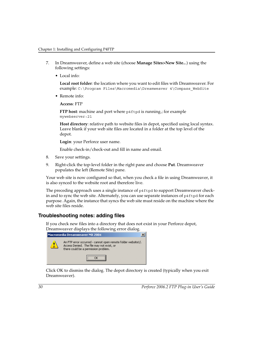- 7. In Dreamweaver, define a web site (choose **Manage Sites>New Site..**.) using the following settings:
	- Local info:

**Local root folder**: the location where you want to edit files with Dreamweaver. For example: C:\Program Files\Macromedia\Dreamweaver 4\Compass\_WebSite

• Remote info:

**Access**: FTP

**FTP host:** machine and port where p4ftpd is running.; for example mywebserver:21

**Host directory**: relative path to website files in depot, specified using local syntax. Leave blank if your web site files are located in a folder at the top level of the depot.

**Login**: your Perforce user name.

Enable check-in/check-out and fill in name and email.

- 8. Save your settings.
- 9. Right-click the top-level folder in the right pane and choose **Put**. Dreamweaver populates the left (Remote Site) pane.

Your web site is now configured so that, when you check a file in using Dreamweaver, it is also synced to the website root and therefore live.

The preceding approach uses a single instance of p4ftpd to support Dreamweaver checkin and to sync the web site. Alternately, you can use separate instances of p4ftpd for each purpose. Again, the instance that syncs the web site must reside on the machine where the web site files reside.

## <span id="page-29-0"></span>**Troubleshooting notes: adding files**

If you check new files into a directory that does not exist in your Perforce depot, Dreamweaver displays the following error dialog.



Click OK to dismiss the dialog. The depot directory is created (typically when you exit Dreamweaver).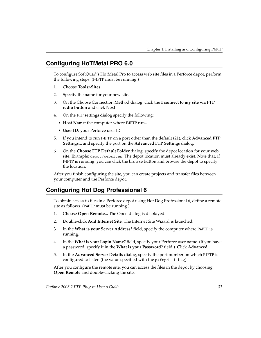# <span id="page-30-0"></span>**Configuring HoTMetal PRO 6.0**

<span id="page-30-3"></span>To configure SoftQuad's HotMetal Pro to access web site files in a Perforce depot, perform the following steps. (P4FTP must be running.)

- 1. Choose **Tools>Sites...**
- 2. Specify the name for your new site.
- 3. On the Choose Connection Method dialog, click the **I connect to my site via FTP radio button** and click Next.
- 4. On the FTP settings dialog specify the following:
	- **Host Name**: the computer where P4FTP runs
	- **User ID**: your Perforce user ID
- <span id="page-30-4"></span>5. If you intend to run P4FTP on a port other than the default (21), click **Advanced FTP Settings...** and specify the port on the **Advanced FTP Settings** dialog.
- 6. On the **Choose FTP Default Folder** dialog, specify the depot location for your web site. Example: depot/websites. The depot location must already exist. Note that, if P4FTP is running, you can click the browse button and browse the depot to specify the location.

<span id="page-30-2"></span>After you finish configuring the site, you can create projects and transfer files between your computer and the Perforce depot.

# <span id="page-30-1"></span>**Configuring Hot Dog Professional 6**

To obtain access to files in a Perforce depot using Hot Dog Professional 6, define a remote site as follows. (P4FTP must be running.)

- 1. Choose **Open Remote...** The Open dialog is displayed.
- 2. Double-click **Add Internet Site**. The Internet Site Wizard is launched.
- 3. In the **What is your Server Address?** field, specify the computer where P4FTP is running.
- 4. In the **What is your Login Name?** field, specify your Perforce user name. (If you have a password, specify it in the **What is your Password?** field.). Click **Advanced**.
- 5. In the **Advanced Server Details** dialog, specify the port number on which P4FTP is configured to listen (the value specified with the  $p4ftpd -1$  flag).

After you configure the remote site, you can access the files in the depot by choosing **Open Remote** and double-clicking the site.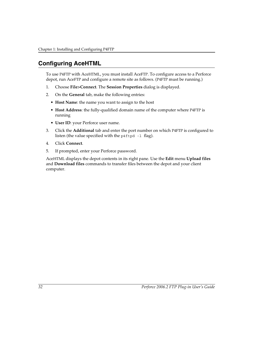# <span id="page-31-0"></span>**Configuring AceHTML**

<span id="page-31-1"></span>To use P4FTP with AceHTML, you must install AceFTP. To configure access to a Perforce depot, run AceFTP and configure a remote site as follows. (P4FTP must be running.)

- 1. Choose **File>Connect**. The **Session Properties** dialog is displayed.
- 2. On the **General** tab, make the following entries:
	- **Host Name**: the name you want to assign to the host
	- **Host Address**: the fully-qualified domain name of the computer where P4FTP is running
	- **User ID**: your Perforce user name.
- <span id="page-31-2"></span>3. Click the **Additional** tab and enter the port number on which P4FTP is configured to listen (the value specified with the  $p4ftpd -1$  flag).
- 4. Click **Connect**.
- 5. If prompted, enter your Perforce password.

AceHTML displays the depot contents in its right pane. Use the **Edit** menu **Upload files** and **Download files** commands to transfer files between the depot and your client computer.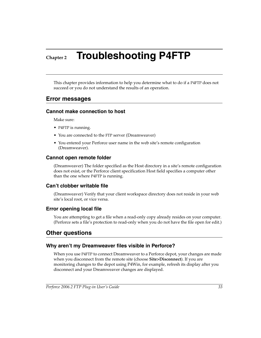# <span id="page-32-0"></span>**Chapter 2 Troubleshooting P4FTP**

This chapter provides information to help you determine what to do if a P4FTP does not succeed or you do not understand the results of an operation.

## <span id="page-32-8"></span><span id="page-32-1"></span>**Error messages**

## <span id="page-32-2"></span>**Cannot make connection to host**

Make sure:

- P4FTP is running.
- You are connected to the FTP server (Dreamweaver)
- You entered your Perforce user name in the web site's remote configuration (Dreamweaver).

## <span id="page-32-3"></span>**Cannot open remote folder**

(Dreamweaver) The folder specified as the Host directory in a site's remote configuration does not exist, or the Perforce client specification Host field specifies a computer other than the one where P4FTP is running.

## <span id="page-32-4"></span>**Can't clobber writable file**

(Dreamweaver) Verify that your client workspace directory does not reside in your web site's local root, or vice versa.

## <span id="page-32-5"></span>**Error opening local file**

You are attempting to get a file when a read-only copy already resides on your computer. (Perforce sets a file's protection to read-only when you do not have the file open for edit.)

# <span id="page-32-6"></span>**Other questions**

## <span id="page-32-7"></span>**Why aren't my Dreamweaver files visible in Perforce?**

When you use P4FTP to connect Dreamweaver to a Perforce depot, your changes are made when you disconnect from the remote site (choose **Site>Disconnect**). If you are monitoring changes to the depot using P4Win, for example, refresh its display after you disconnect and your Dreamweaver changes are displayed.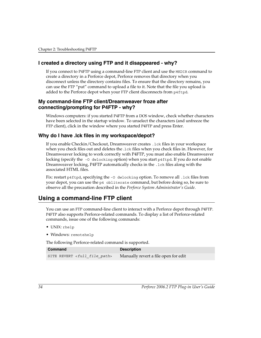## <span id="page-33-0"></span>**I created a directory using FTP and it disappeared - why?**

If you connect to P4FTP using a command-line FTP client and use the MKDIR command to create a directory in a Perforce depot, Perforce removes that directory when you disconnect unless the directory contains files. To ensure that the directory remains, you can use the FTP "put" command to upload a file to it. Note that the file you upload is added to the Perforce depot when your FTP client disconnects from p4ftpd.

### <span id="page-33-1"></span>**My command-line FTP client/Dreamweaver froze after connecting/prompting for P4FTP - why?**

Windows computers: if you started P4FTP from a DOS window, check whether characters have been selected in the startup window. To unselect the characters (and unfreeze the FTP client), click in the window where you started P4FTP and press Enter.

## <span id="page-33-2"></span>**Why do I have .lck files in my workspace/depot?**

If you enable Checkin/Checkout, Dreamweaver creates .lck files in your workspace when you check files out and deletes the .lck files when you check files in. However, for Dreamweaver locking to work correctly with P4FTP, you must also enable Dreamweaver locking (specify the  $\sim$  0 dwlocking option) when you start p4ftpd. If you do not enable Dreamweaver locking, P4FTP automatically checks in the .lck files along with the associated HTML files.

<span id="page-33-4"></span>Fix: restart p4ftpd, specifying the -0 dwlocking option. To remove all .1ck files from your depot, you can use the p4 obliterate command, but before doing so, be sure to observe all the precaution described in the *Perforce System Administrator's Guide*.

# <span id="page-33-3"></span>**Using a command-line FTP client**

You can use an FTP command-line client to interact with a Perforce depot through P4FTP. P4FTP also supports Perforce-related commands. To display a list of Perforce-related commands, issue one of the following commands:

- UNIX: rhelp
- Windows: remotehelp

The following Perforce-related command is supported.

<span id="page-33-5"></span>

| Command                                   | <b>Description</b>                   |
|-------------------------------------------|--------------------------------------|
| SITE REVERT <full file="" path=""></full> | Manually revert a file open for edit |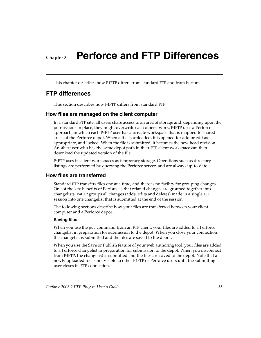# <span id="page-34-4"></span><span id="page-34-0"></span>**Chapter 3 Perforce and FTP Differences**

This chapter describes how P4FTP differs from standard FTP and from Perforce.

## <span id="page-34-1"></span>**FTP differences**

This section describes how P4FTP differs from standard FTP.

## <span id="page-34-2"></span>**How files are managed on the client computer**

In a standard FTP site, all users share access to an area of storage and, depending upon the permissions in place, they might overwrite each others' work. P4FTP uses a Perforce approach, in which each P4FTP user has a private workspace that is mapped to shared areas of the Perforce depot. When a file is uploaded, it is opened for add or edit as appropriate, and locked. When the file is submitted, it becomes the new head revision. Another user who has the same depot path in their FTP client workspace can then download the updated version of the file.

<span id="page-34-6"></span>P4FTP uses its client workspaces as temporary storage. Operations such as directory listings are performed by querying the Perforce server, and are always up-to-date.

## <span id="page-34-3"></span>**How files are transferred**

Standard FTP transfers files one at a time, and there is no facility for grouping changes. One of the key benefits of Perforce is that related changes are grouped together into changelists. P4FTP groups all changes (adds, edits and deletes) made in a single FTP session into one changelist that is submitted at the end of the session.

<span id="page-34-5"></span>The following sections describe how your files are transferred between your client computer and a Perforce depot.

#### **Saving files**

When you use the put command from an FTP client, your files are added to a Perforce changelist in preparation for submission to the depot. When you close your connection, the changelist is submitted and the files are saved to the depot.

When you use the Save or Publish feature of your web authoring tool, your files are added to a Perforce changelist in preparation for submission to the depot. When you disconnect from P4FTP, the changelist is submitted and the files are saved to the depot. Note that a newly uploaded file is not visible to other P4FTP or Perforce users until the submitting user closes its FTP connection.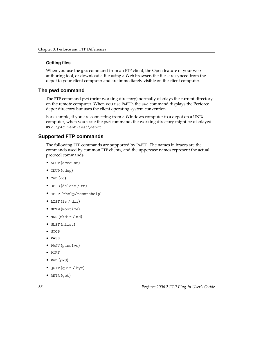#### **Getting files**

When you use the get command from an FTP client, the Open feature of your web authoring tool, or download a file using a Web browser, the files are synced from the depot to your client computer and are immediately visible on the client computer.

## <span id="page-35-0"></span>**The pwd command**

<span id="page-35-2"></span>The FTP command pwd (print working directory) normally displays the current directory on the remote computer. When you use P4FTP, the pwd command displays the Perforce depot directory but uses the client operating system convention.

For example, if you are connecting from a Windows computer to a depot on a UNIX computer, when you issue the pwd command, the working directory might be displayed as c:\p4client-test\depot.

## <span id="page-35-1"></span>**Supported FTP commands**

The following FTP commands are supported by P4FTP. The names in braces are the commands used by common FTP clients, and the uppercase names represent the actual protocol commands.

- ACCT (account)
- CDUP (cdup)
- $CWD$  (cd)
- DELE (delete / rm)
- HELP (rhelp/remotehelp)
- LIST (ls / dir)
- MDTM (modtime)
- MKD (mkdir / md)
- NLST (nlist)
- NOOP
- PASS
- PASV (passive)
- PORT
- PWD (pwd)
- QUIT (quit / bye)
- RETR (get)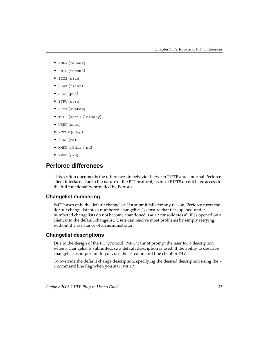- RNFR (rename)
- RNTO (rename)
- SIZE (size)
- STAT (rstat)
- STOR (put)
- STRU (stru)
- SYST (system)
- TYPE (ascii / binary)
- USER (user)
- XCDUP (cdup)
- XCWD (cd)
- XMKD (mkdir / md)
- XPWD (pwd)

## <span id="page-36-0"></span>**Perforce differences**

This section documents the differences in behavior between P4FTP and a normal Perforce client interface. Due to the nature of the FTP protocol, users of P4FTP do not have access to the full functionality provided by Perforce.

## <span id="page-36-3"></span><span id="page-36-1"></span>**Changelist numbering**

P4FTP uses only the default changelist. If a submit fails for any reason, Perforce turns the default changelist into a numbered changelist. To ensure that files opened under numbered changelists do not become abandoned, P4FTP consolidates all files opened on a client into the default changelist. Users can resolve most problems by simply retrying, without the assistance of an administrator.

## <span id="page-36-2"></span>**Changelist descriptions**

Due to the design of the FTP protocol, P4FTP cannot prompt the user for a description when a changelist is submitted, so a default description is used. If the ability to describe changelists is important to you, use the P4 command line client or P4V.

To override the default change description, specifying the desired description using the t command line flag when you start P4FTP.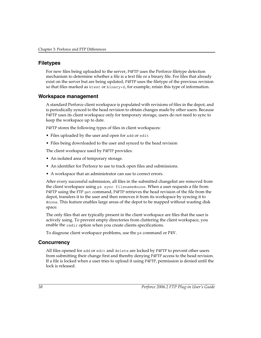## <span id="page-37-0"></span>**Filetypes**

For new files being uploaded to the server, P4FTP uses the Perforce filetype detection mechanism to determine whether a file is a text file or a binary file. For files that already exist on the server but are being updated, P4FTP uses the filetype of the previous revision so that files marked as ktext or binary+S, for example, retain this type of information.

## <span id="page-37-1"></span>**Workspace management**

A standard Perforce client workspace is populated with revisions of files in the depot, and is periodically synced to the head revision to obtain changes made by other users. Because P4FTP uses its client workspace only for temporary storage, users do not need to sync to keep the workspace up to date.

P4FTP stores the following types of files in client workspaces:

- Files uploaded by the user and open for add or edit
- Files being downloaded to the user and synced to the head revision

The client workspace used by P4FTP provides:

- An isolated area of temporary storage.
- An identifier for Perforce to use to track open files and submissions.
- A workspace that an administrator can use to correct errors.

After every successful submission, all files in the submitted changelist are removed from the client workspace using p4 sync filename#none. When a user requests a file from P4FTP using the FTP get command, P4FTP retrieves the head revision of the file from the depot, transfers it to the user and then removes it from its workspace by syncing it to #none. This feature enables large areas of the depot to be mapped without wasting disk space.

The only files that are typically present in the client workspace are files that the user is actively using. To prevent empty directories from cluttering the client workspace, you enable the rmdir option when you create clients specifications.

To diagnose client workspace problems, use the p4 command or P4V.

## <span id="page-37-2"></span>**Concurrency**

All files opened for add or edit and delete are locked by P4FTP to prevent other users from submitting their change first and thereby denying P4FTP access to the head revision. If a file is locked when a user tries to upload it using P4FTP, permission is denied until the lock is released.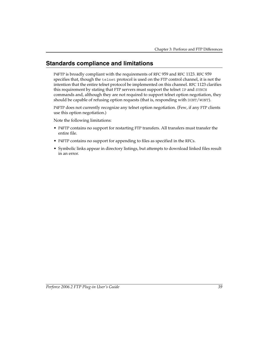## <span id="page-38-0"></span>**Standards compliance and limitations**

P4FTP is broadly compliant with the requirements of RFC 959 and RFC 1123. RFC 959 specifies that, though the telnet protocol is used on the FTP control channel, it is not the intention that the entire telnet protocol be implemented on this channel. RFC 1123 clarifies this requirement by stating that FTP servers must support the telnet IP and SYNCH commands and, although they are not required to support telnet option negotiation, they should be capable of refusing option requests (that is, responding with DONT/WONT).

P4FTP does not currently recognize any telnet option negotiation. (Few, if any FTP clients use this option negotiation.)

Note the following limitations:

- P4FTP contains no support for restarting FTP transfers. All transfers must transfer the entire file.
- P4FTP contains no support for appending to files as specified in the RFCs.
- Symbolic links appear in directory listings, but attempts to download linked files result in an error.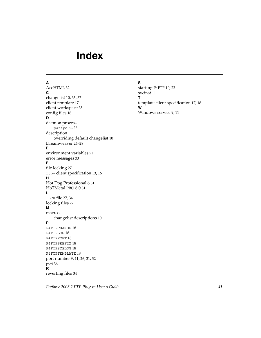# <span id="page-40-0"></span>**Index**

#### **A**

AceHTM[L 32](#page-31-1) **C** changelist [10,](#page-9-1) [35,](#page-34-5) [37](#page-36-3) client templat[e 17](#page-16-1) client workspac[e 35](#page-34-6) config file[s 18](#page-17-2) **D** daemon process p4ftpd a[s 22](#page-21-1) description overriding default changelis[t 10](#page-9-1) Dreamweaver [24–](#page-23-2)[28](#page-27-0) **E** environment variable[s 21](#page-20-1) error message[s 33](#page-32-8) **F** file lockin[g 27](#page-26-2) ftp- client specificatio[n 13,](#page-12-0) [16](#page-15-0) **H** Hot Dog Professional [6 31](#page-30-2) HoTMetal PRO 6.[0 31](#page-30-3) **L** .LCK fil[e 27,](#page-26-3) [34](#page-33-4) locking file[s 27](#page-26-4) **M** macros changelist description[s 10](#page-9-1) **P** P4FTPCHANGE [18](#page-17-3) P4FTPLOG [18](#page-17-4) P4FTPPORT [18](#page-17-5) P4FTPPREFIX [18](#page-17-6) P4FTPSYSLOG [18](#page-17-7) P4FTPTEMPLATE [18](#page-17-8) port numbe[r 9,](#page-8-3) [11,](#page-10-1) [26,](#page-25-0) [31,](#page-30-4) [32](#page-31-2) pwd [36](#page-35-2) **R** reverting file[s 34](#page-33-5)

#### **S**

starting P4FT[P 10,](#page-9-2) [22](#page-21-2) svcinst [11](#page-10-2) **T** template client specificatio[n 17,](#page-16-1) [18](#page-17-9) **W** Windows servic[e 9,](#page-8-4) [11](#page-10-3)